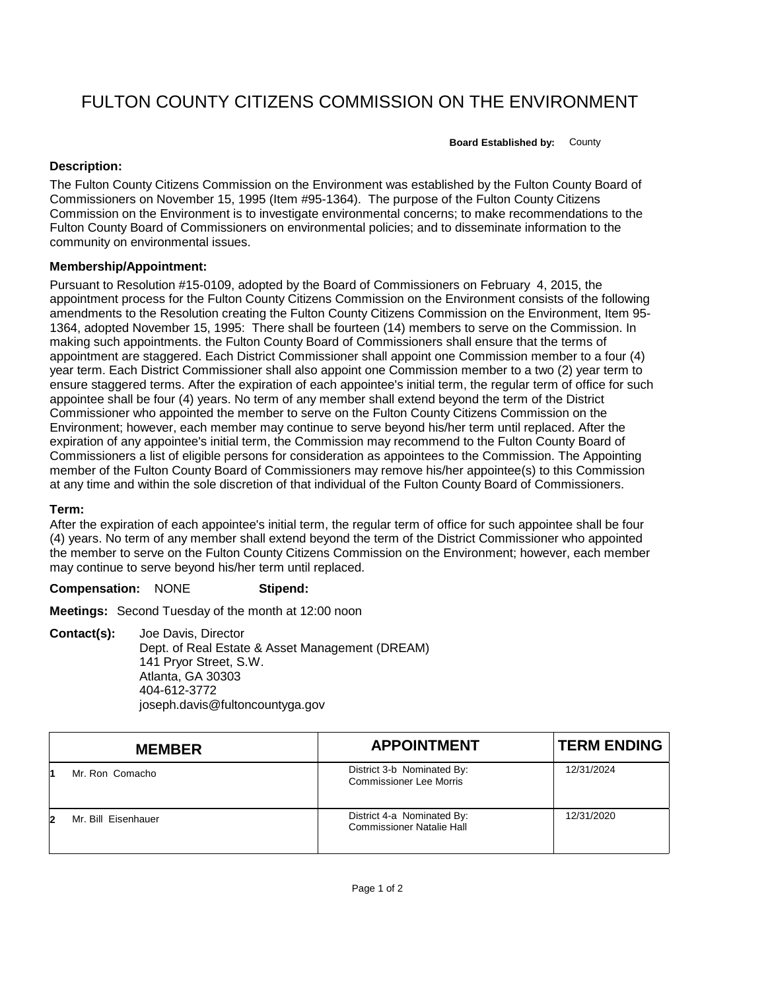# FULTON COUNTY CITIZENS COMMISSION ON THE ENVIRONMENT

**Board Established by:** County

## **Description:**

The Fulton County Citizens Commission on the Environment was established by the Fulton County Board of Commissioners on November 15, 1995 (Item #95-1364). The purpose of the Fulton County Citizens Commission on the Environment is to investigate environmental concerns; to make recommendations to the Fulton County Board of Commissioners on environmental policies; and to disseminate information to the community on environmental issues.

### **Membership/Appointment:**

Pursuant to Resolution #15-0109, adopted by the Board of Commissioners on February 4, 2015, the appointment process for the Fulton County Citizens Commission on the Environment consists of the following amendments to the Resolution creating the Fulton County Citizens Commission on the Environment, Item 95- 1364, adopted November 15, 1995: There shall be fourteen (14) members to serve on the Commission. In making such appointments. the Fulton County Board of Commissioners shall ensure that the terms of appointment are staggered. Each District Commissioner shall appoint one Commission member to a four (4) year term. Each District Commissioner shall also appoint one Commission member to a two (2) year term to ensure staggered terms. After the expiration of each appointee's initial term, the regular term of office for such appointee shall be four (4) years. No term of any member shall extend beyond the term of the District Commissioner who appointed the member to serve on the Fulton County Citizens Commission on the Environment; however, each member may continue to serve beyond his/her term until replaced. After the expiration of any appointee's initial term, the Commission may recommend to the Fulton County Board of Commissioners a list of eligible persons for consideration as appointees to the Commission. The Appointing member of the Fulton County Board of Commissioners may remove his/her appointee(s) to this Commission at any time and within the sole discretion of that individual of the Fulton County Board of Commissioners.

#### **Term:**

After the expiration of each appointee's initial term, the regular term of office for such appointee shall be four (4) years. No term of any member shall extend beyond the term of the District Commissioner who appointed the member to serve on the Fulton County Citizens Commission on the Environment; however, each member may continue to serve beyond his/her term until replaced.

#### **Compensation:** NONE **Stipend:**

**Meetings:** Second Tuesday of the month at 12:00 noon

**Contact(s):** Joe Davis, Director Dept. of Real Estate & Asset Management (DREAM) 141 Pryor Street, S.W. Atlanta, GA 30303 404-612-3772 joseph.davis@fultoncountyga.gov

|    | <b>MEMBER</b>       | <b>APPOINTMENT</b>                                             | <b>TERM ENDING</b> |
|----|---------------------|----------------------------------------------------------------|--------------------|
|    | Mr. Ron Comacho     | District 3-b Nominated By:<br><b>Commissioner Lee Morris</b>   | 12/31/2024         |
| 12 | Mr. Bill Eisenhauer | District 4-a Nominated By:<br><b>Commissioner Natalie Hall</b> | 12/31/2020         |